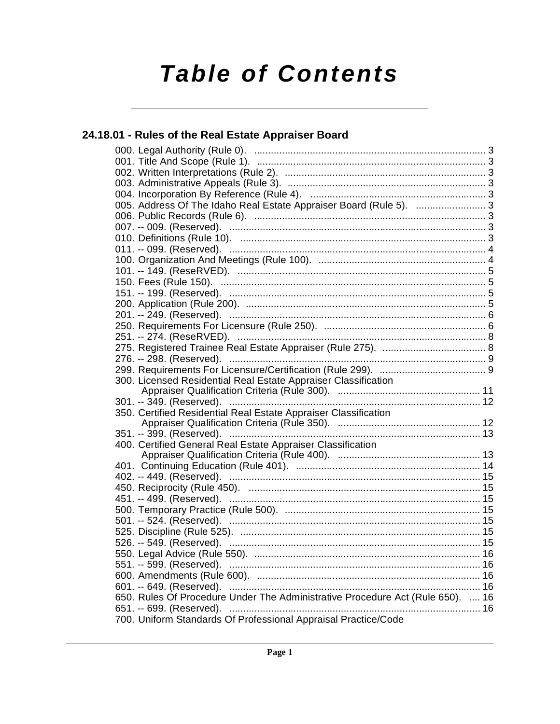# **Table of Contents**

# 24.18.01 - Rules of the Real Estate Appraiser Board

| 005. Address Of The Idaho Real Estate Appraiser Board (Rule 5).  3             |    |
|--------------------------------------------------------------------------------|----|
|                                                                                |    |
|                                                                                |    |
|                                                                                |    |
|                                                                                |    |
|                                                                                |    |
|                                                                                |    |
|                                                                                |    |
| 151. -- 199. (Reserved). …………………………………………………………………………………5                      |    |
|                                                                                |    |
|                                                                                |    |
|                                                                                |    |
| 251. -- 274. (ReseRVED). ……………………………………………………………………………… 8                      |    |
|                                                                                |    |
|                                                                                |    |
|                                                                                |    |
| 300. Licensed Residential Real Estate Appraiser Classification                 |    |
|                                                                                |    |
|                                                                                |    |
|                                                                                |    |
| 350. Certified Residential Real Estate Appraiser Classification                |    |
|                                                                                |    |
| 351. -- 399. (Reserved). ………………………………………………………………………… 13                       |    |
| 400. Certified General Real Estate Appraiser Classification                    |    |
|                                                                                |    |
|                                                                                |    |
|                                                                                |    |
|                                                                                |    |
|                                                                                |    |
|                                                                                |    |
|                                                                                |    |
|                                                                                |    |
|                                                                                |    |
|                                                                                | 16 |
| 551. -- 599. (Reserved). …………………………………………………………………………… 16                      |    |
|                                                                                |    |
|                                                                                |    |
| 650. Rules Of Procedure Under The Administrative Procedure Act (Rule 650).  16 |    |
| 700. Uniform Standards Of Professional Appraisal Practice/Code                 |    |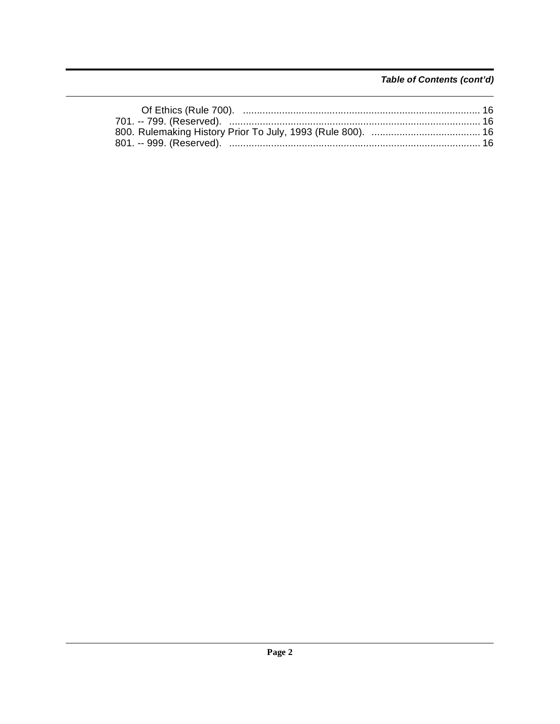# Table of Contents (cont'd)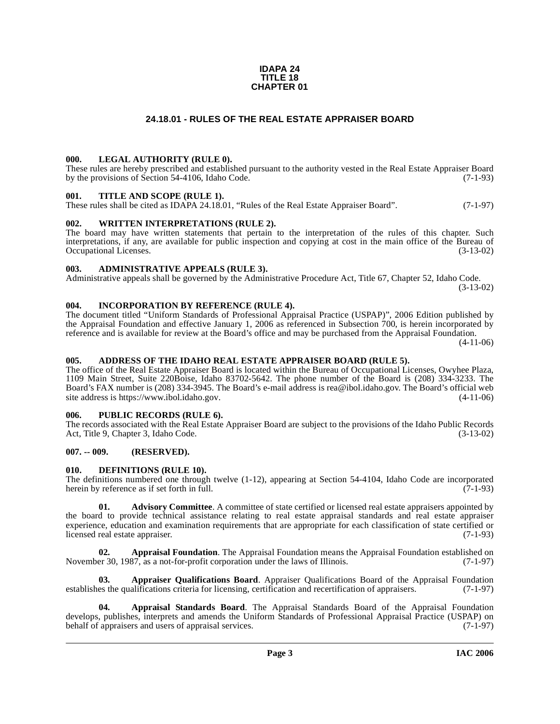#### **IDAPA 24 TITLE 18 CHAPTER 01**

# **24.18.01 - RULES OF THE REAL ESTATE APPRAISER BOARD**

#### <span id="page-2-1"></span><span id="page-2-0"></span>**000. LEGAL AUTHORITY (RULE 0).**

These rules are hereby prescribed and established pursuant to the authority vested in the Real Estate Appraiser Board by the provisions of Section 54-4106, Idaho Code. (7-1-93)

#### <span id="page-2-2"></span>**001. TITLE AND SCOPE (RULE 1).**

These rules shall be cited as IDAPA 24.18.01, "Rules of the Real Estate Appraiser Board". (7-1-97)

# <span id="page-2-3"></span>**002. WRITTEN INTERPRETATIONS (RULE 2).**

The board may have written statements that pertain to the interpretation of the rules of this chapter. Such interpretations, if any, are available for public inspection and copying at cost in the main office of the Bureau of Occupational Licenses. (3-13-02) Occupational Licenses.

#### <span id="page-2-4"></span>**003. ADMINISTRATIVE APPEALS (RULE 3).**

Administrative appeals shall be governed by the Administrative Procedure Act, Title 67, Chapter 52, Idaho Code. (3-13-02)

<span id="page-2-5"></span>**004. INCORPORATION BY REFERENCE (RULE 4).**

The document titled "Uniform Standards of Professional Appraisal Practice (USPAP)", 2006 Edition published by the Appraisal Foundation and effective January 1, 2006 as referenced in Subsection 700, is herein incorporated by reference and is available for review at the Board's office and may be purchased from the Appraisal Foundation.

(4-11-06)

#### <span id="page-2-6"></span>**005. ADDRESS OF THE IDAHO REAL ESTATE APPRAISER BOARD (RULE 5).**

[The office of the Real Estate Appraiser Board is located within the Bureau of Occupational Licenses, Owyhee Plaza,](mailto:rea@ibol.idaho.gov)  1109 Main Street, Suite 220Boise, Idaho 83702-5642. The phone number of the Board is (208) 334-3233. The Board's FAX number is (208) 334-3945. The Board's e-mail address is rea@ibol.idaho.gov. The Board's official web [site address is https://www.ibol.idaho.gov](mailto:rea@ibol.idaho.gov)[. \(4-11-06\)](https://www.ibol.idaho.gov)

#### <span id="page-2-7"></span>**006. PUBLIC RECORDS (RULE 6).**

The records associated with the Real Estate Appraiser Board are subject to the provisions of the Idaho Public Records Act, Title 9, Chapter 3, Idaho Code. (3-13-02)

#### <span id="page-2-8"></span>**007. -- 009. (RESERVED).**

#### <span id="page-2-14"></span><span id="page-2-9"></span>**010. DEFINITIONS (RULE 10).**

The definitions numbered one through twelve  $(1-12)$ , appearing at Section 54-4104, Idaho Code are incorporated herein by reference as if set forth in full.  $(7-1-93)$ herein by reference as if set forth in full.

<span id="page-2-10"></span>**01.** Advisory Committee. A committee of state certified or licensed real estate appraisers appointed by the board to provide technical assistance relating to real estate appraisal standards and real estate appraiser experience, education and examination requirements that are appropriate for each classification of state certified or licensed real estate appraiser. (7-1-93)

<span id="page-2-11"></span>**02. Appraisal Foundation**. The Appraisal Foundation means the Appraisal Foundation established on er 30, 1987, as a not-for-profit corporation under the laws of Illinois. (7-1-97) November 30, 1987, as a not-for-profit corporation under the laws of Illinois.

<span id="page-2-13"></span>**03. Appraiser Qualifications Board**. Appraiser Qualifications Board of the Appraisal Foundation es the qualifications criteria for licensing, certification and recertification of appraisers. (7-1-97) establishes the qualifications criteria for licensing, certification and recertification of appraisers.

<span id="page-2-12"></span>**04. Appraisal Standards Board**. The Appraisal Standards Board of the Appraisal Foundation develops, publishes, interprets and amends the Uniform Standards of Professional Appraisal Practice (USPAP) on<br>behalf of appraisers and users of appraisal services. (7-1-97) behalf of appraisers and users of appraisal services.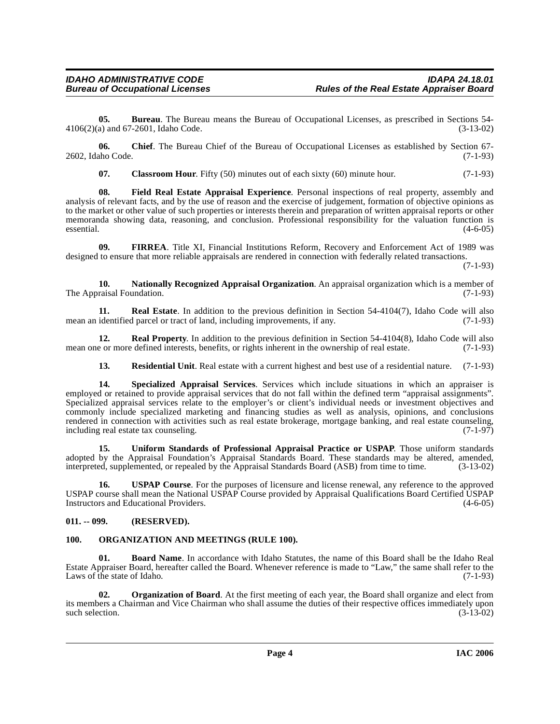**05. Bureau**. The Bureau means the Bureau of Occupational Licenses, as prescribed in Sections 54-<br>a) and 67-2601, Idaho Code. (3-13-02) 4106(2)(a) and 67-2601, Idaho Code.

**06. Chief**. The Bureau Chief of the Bureau of Occupational Licenses as established by Section 67- 2602, Idaho Code. (7-1-93)

<span id="page-3-5"></span><span id="page-3-3"></span>**07.** Classroom Hour. Fifty (50) minutes out of each sixty (60) minute hour. (7-1-93)

**08. Field Real Estate Appraisal Experience**. Personal inspections of real property, assembly and analysis of relevant facts, and by the use of reason and the exercise of judgement, formation of objective opinions as to the market or other value of such properties or interests therein and preparation of written appraisal reports or other memoranda showing data, reasoning, and conclusion. Professional responsibility for the valuation function is  $\epsilon$  essential.  $(4-6-05)$ 

<span id="page-3-4"></span>**09. FIRREA**. Title XI, Financial Institutions Reform, Recovery and Enforcement Act of 1989 was designed to ensure that more reliable appraisals are rendered in connection with federally related transactions.

(7-1-93)

<span id="page-3-6"></span>**10. Nationally Recognized Appraisal Organization**. An appraisal organization which is a member of raisal Foundation. (7-1-93) The Appraisal Foundation.

<span id="page-3-9"></span>**11. Real Estate**. In addition to the previous definition in Section 54-4104(7), Idaho Code will also identified parcel or tract of land, including improvements, if any. (7-1-93) mean an identified parcel or tract of land, including improvements, if any.

**12. Real Property**. In addition to the previous definition in Section 54-4104(8), Idaho Code will also e or more defined interests, benefits, or rights inherent in the ownership of real estate. (7-1-93) mean one or more defined interests, benefits, or rights inherent in the ownership of real estate.

<span id="page-3-12"></span><span id="page-3-11"></span><span id="page-3-10"></span>**13. Residential Unit**. Real estate with a current highest and best use of a residential nature. (7-1-93)

**14. Specialized Appraisal Services**. Services which include situations in which an appraiser is employed or retained to provide appraisal services that do not fall within the defined term "appraisal assignments". Specialized appraisal services relate to the employer's or client's individual needs or investment objectives and commonly include specialized marketing and financing studies as well as analysis, opinions, and conclusions rendered in connection with activities such as real estate brokerage, mortgage banking, and real estate counseling, including real estate tax counseling. (7-1-97) including real estate tax counseling.

<span id="page-3-13"></span>**15. Uniform Standards of Professional Appraisal Practice or USPAP**. Those uniform standards adopted by the Appraisal Foundation's Appraisal Standards Board. These standards may be altered, amended, interpreted, supplemented, or repealed by the Appraisal Standards Board (ASB) from time to time. (3-13-02) interpreted, supplemented, or repealed by the Appraisal Standards Board (ASB) from time to time.

**16. USPAP Course**. For the purposes of licensure and license renewal, any reference to the approved USPAP course shall mean the National USPAP Course provided by Appraisal Qualifications Board Certified USPAP Instructors and Educational Providers. (4-6-05)

# <span id="page-3-0"></span>**011. -- 099. (RESERVED).**

# <span id="page-3-7"></span><span id="page-3-1"></span>**100. ORGANIZATION AND MEETINGS (RULE 100).**

<span id="page-3-2"></span>**01. Board Name**. In accordance with Idaho Statutes, the name of this Board shall be the Idaho Real Estate Appraiser Board, hereafter called the Board. Whenever reference is made to "Law," the same shall refer to the Laws of the state of Idaho. (7-1-93)

<span id="page-3-8"></span>**02. Organization of Board**. At the first meeting of each year, the Board shall organize and elect from its members a Chairman and Vice Chairman who shall assume the duties of their respective offices immediately upon such selection.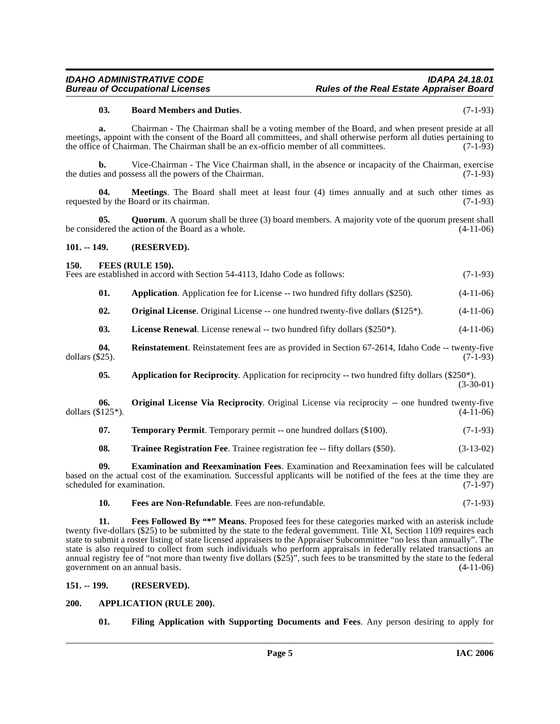#### <span id="page-4-6"></span>**03. Board Members and Duties**. (7-1-93)

**a.** Chairman - The Chairman shall be a voting member of the Board, and when present preside at all meetings, appoint with the consent of the Board all committees, and shall otherwise perform all duties pertaining to the office of Chairman. The Chairman shall be an ex-officio member of all committees. (7-1-93)

**b.** Vice-Chairman - The Vice Chairman shall, in the absence or incapacity of the Chairman, exercise the duties and possess all the powers of the Chairman. (7-1-93)

**04. Meetings**. The Board shall meet at least four (4) times annually and at such other times as d by the Board or its chairman. (7-1-93) requested by the Board or its chairman.

**05. Quorum**. A quorum shall be three (3) board members. A majority vote of the quorum present shall be considered the action of the Board as a whole. (4-11-06)

#### <span id="page-4-0"></span>**101. -- 149. (RESERVED).**

#### <span id="page-4-8"></span><span id="page-4-1"></span>**150. FEES (RULE 150).**

Fees are established in accord with Section 54-4113, Idaho Code as follows: (7-1-93)

| 01. | <b>Application.</b> Application fee for License -- two hundred fifty dollars (\$250). |  | $(4-11-06)$ |
|-----|---------------------------------------------------------------------------------------|--|-------------|
|     |                                                                                       |  |             |

<span id="page-4-13"></span>**02. Original License**. Original License -- one hundred twenty-five dollars (\$125\*). (4-11-06)

<span id="page-4-15"></span><span id="page-4-12"></span>**03.** License Renewal. License renewal -- two hundred fifty dollars (\$250\*). (4-11-06)

**04.** Reinstatement. Reinstatement fees are as provided in Section 67-2614, Idaho Code -- twenty-five  $(7-1-93)$ dollars  $(\$25)$ .

<span id="page-4-14"></span><span id="page-4-5"></span>**05.** Application for Reciprocity. Application for reciprocity -- two hundred fifty dollars (\$250\*). (3-30-01)

**06. Original License Via Reciprocity**. Original License via reciprocity -- one hundred twenty-five dollars  $(\$125^*)$ . (4-11-06)

<span id="page-4-16"></span>

| 07. |  | <b>Temporary Permit.</b> Temporary permit -- one hundred dollars (\$100). | $(7-1-93)$ |
|-----|--|---------------------------------------------------------------------------|------------|
|-----|--|---------------------------------------------------------------------------|------------|

<span id="page-4-17"></span><span id="page-4-7"></span>**08. Trainee Registration Fee**. Trainee registration fee -- fifty dollars (\$50). (3-13-02)

**09. Examination and Reexamination Fees**. Examination and Reexamination fees will be calculated based on the actual cost of the examination. Successful applicants will be notified of the fees at the time they are scheduled for examination.

<span id="page-4-10"></span><span id="page-4-9"></span>**10. Fees are Non-Refundable**. Fees are non-refundable. (7-1-93)

**11. Fees Followed By "\*" Means**. Proposed fees for these categories marked with an asterisk include twenty five-dollars (\$25) to be submitted by the state to the federal government. Title XI, Section 1109 requires each state to submit a roster listing of state licensed appraisers to the Appraiser Subcommittee "no less than annually". The state is also required to collect from such individuals who perform appraisals in federally related transactions an annual registry fee of "not more than twenty five dollars  $(\$25)$ ", such fees to be transmitted by the state to the federal government on an annual basis. government on an annual basis.

#### <span id="page-4-2"></span>**151. -- 199. (RESERVED).**

#### <span id="page-4-3"></span>**200. APPLICATION (RULE 200).**

<span id="page-4-11"></span><span id="page-4-4"></span>**01. Filing Application with Supporting Documents and Fees**. Any person desiring to apply for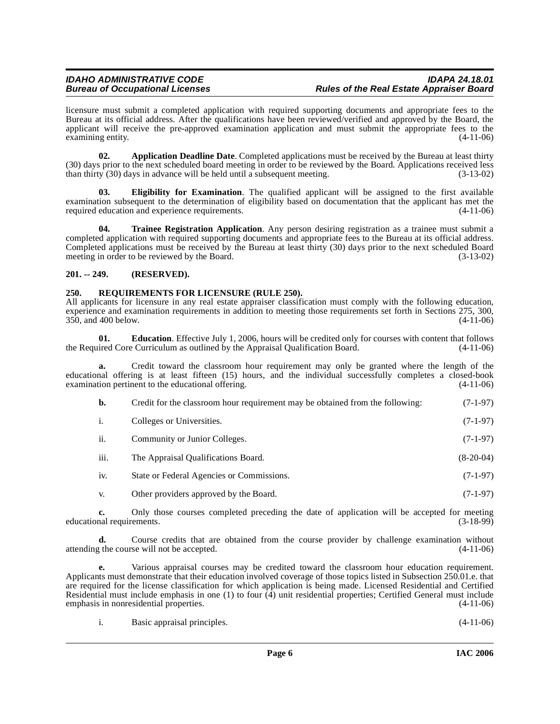licensure must submit a completed application with required supporting documents and appropriate fees to the Bureau at its official address. After the qualifications have been reviewed/verified and approved by the Board, the applicant will receive the pre-approved examination application and must submit the appropriate fees to the examining entity.  $(4-11-06)$ 

<span id="page-5-2"></span>**02. Application Deadline Date**. Completed applications must be received by the Bureau at least thirty (30) days prior to the next scheduled board meeting in order to be reviewed by the Board. Applications received less than thirty  $(30)$  days in advance will be held until a subsequent meeting.  $(3-13-02)$ 

<span id="page-5-4"></span>**03. Eligibility for Examination**. The qualified applicant will be assigned to the first available examination subsequent to the determination of eligibility based on documentation that the applicant has met the required education and experience requirements. (4-11-06) required education and experience requirements.

<span id="page-5-6"></span>**04. Trainee Registration Application**. Any person desiring registration as a trainee must submit a completed application with required supporting documents and appropriate fees to the Bureau at its official address. Completed applications must be received by the Bureau at least thirty (30) days prior to the next scheduled Board meeting in order to be reviewed by the Board. (3-13-02) meeting in order to be reviewed by the Board.

# <span id="page-5-0"></span>**201. -- 249. (RESERVED).**

# <span id="page-5-5"></span><span id="page-5-1"></span>**250. REQUIREMENTS FOR LICENSURE (RULE 250).**

All applicants for licensure in any real estate appraiser classification must comply with the following education, experience and examination requirements in addition to meeting those requirements set forth in Sections 275, 300, 350, and 400 below. (4-11-06)

<span id="page-5-3"></span>**01. Education**. Effective July 1, 2006, hours will be credited only for courses with content that follows ired Core Curriculum as outlined by the Appraisal Qualification Board. (4-11-06) the Required Core Curriculum as outlined by the Appraisal Qualification Board.

**a.** Credit toward the classroom hour requirement may only be granted where the length of the educational offering is at least fifteen (15) hours, and the individual successfully completes a closed-book examination pertinent to the educational offering.

| b.   | Credit for the classroom hour requirement may be obtained from the following: | $(7-1-97)$  |
|------|-------------------------------------------------------------------------------|-------------|
| i.   | Colleges or Universities.                                                     | $(7-1-97)$  |
| ii.  | Community or Junior Colleges.                                                 | $(7-1-97)$  |
| iii. | The Appraisal Qualifications Board.                                           | $(8-20-04)$ |
| iv.  | State or Federal Agencies or Commissions.                                     | $(7-1-97)$  |
|      |                                                                               |             |

v. Other providers approved by the Board. (7-1-97)

**c.** Only those courses completed preceding the date of application will be accepted for meeting nal requirements. (3-18-99) educational requirements.

**d.** Course credits that are obtained from the course provider by challenge examination without attending the course will not be accepted. (4-11-06)

**e.** Various appraisal courses may be credited toward the classroom hour education requirement. Applicants must demonstrate that their education involved coverage of those topics listed in Subsection 250.01.e. that are required for the license classification for which application is being made. Licensed Residential and Certified Residential must include emphasis in one (1) to four  $\hat{A}$ ) unit residential properties; Certified General must include emphasis in nonresidential properties. (4-11-06) emphasis in nonresidential properties.

|  |  | Basic appraisal principles. | $(4-11-06)$ |  |
|--|--|-----------------------------|-------------|--|
|--|--|-----------------------------|-------------|--|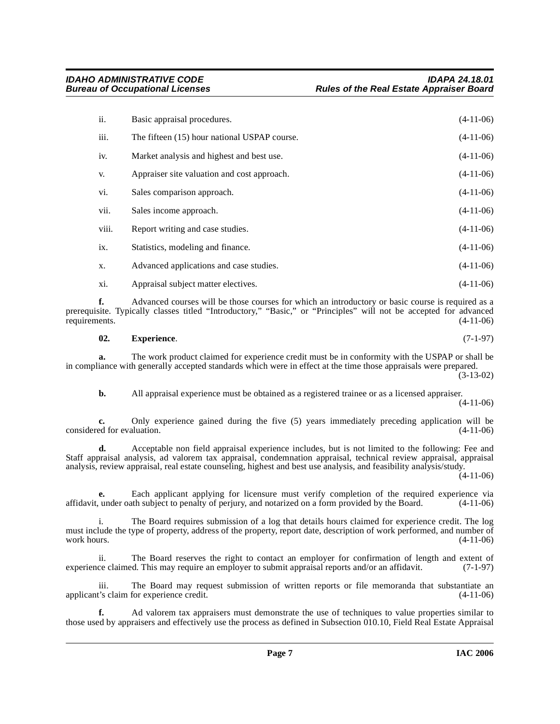| ii.   | Basic appraisal procedures.                  | $(4-11-06)$ |
|-------|----------------------------------------------|-------------|
| iii.  | The fifteen (15) hour national USPAP course. | $(4-11-06)$ |
| iv.   | Market analysis and highest and best use.    | $(4-11-06)$ |
| V.    | Appraiser site valuation and cost approach.  | $(4-11-06)$ |
| vi.   | Sales comparison approach.                   | $(4-11-06)$ |
| vii.  | Sales income approach.                       | $(4-11-06)$ |
| viii. | Report writing and case studies.             | $(4-11-06)$ |
| ix.   | Statistics, modeling and finance.            | $(4-11-06)$ |
| X.    | Advanced applications and case studies.      | $(4-11-06)$ |
| xi.   | Appraisal subject matter electives.          | $(4-11-06)$ |

**f.** Advanced courses will be those courses for which an introductory or basic course is required as a prerequisite. Typically classes titled "Introductory," "Basic," or "Principles" will not be accepted for advanced requirements. (4-11-06) requirements.

#### <span id="page-6-0"></span>**02. Experience**. (7-1-97)

**a.** The work product claimed for experience credit must be in conformity with the USPAP or shall be in compliance with generally accepted standards which were in effect at the time those appraisals were prepared. (3-13-02)

**b.** All appraisal experience must be obtained as a registered trainee or as a licensed appraiser. (4-11-06)

**c.** Only experience gained during the five (5) years immediately preceding application will be ed for evaluation. (4-11-06) considered for evaluation.

**d.** Acceptable non field appraisal experience includes, but is not limited to the following: Fee and Staff appraisal analysis, ad valorem tax appraisal, condemnation appraisal, technical review appraisal, appraisal analysis, review appraisal, real estate counseling, highest and best use analysis, and feasibility analysis/study.

 $(4-11-06)$ 

**e.** Each applicant applying for licensure must verify completion of the required experience via<br>under oath subject to penalty of perjury, and notarized on a form provided by the Board. (4-11-06) affidavit, under oath subject to penalty of perjury, and notarized on a form provided by the Board.

i. The Board requires submission of a log that details hours claimed for experience credit. The log must include the type of property, address of the property, report date, description of work performed, and number of work hours. (4-11-06) work hours.  $(4-11-06)$ 

ii. The Board reserves the right to contact an employer for confirmation of length and extent of ce claimed. This may require an employer to submit appraisal reports and/or an affidavit. (7-1-97) experience claimed. This may require an employer to submit appraisal reports and/or an affidavit.

iii. The Board may request submission of written reports or file memoranda that substantiate an t's claim for experience credit. (4-11-06) applicant's claim for experience credit.

**f.** Ad valorem tax appraisers must demonstrate the use of techniques to value properties similar to those used by appraisers and effectively use the process as defined in Subsection 010.10, Field Real Estate Appraisal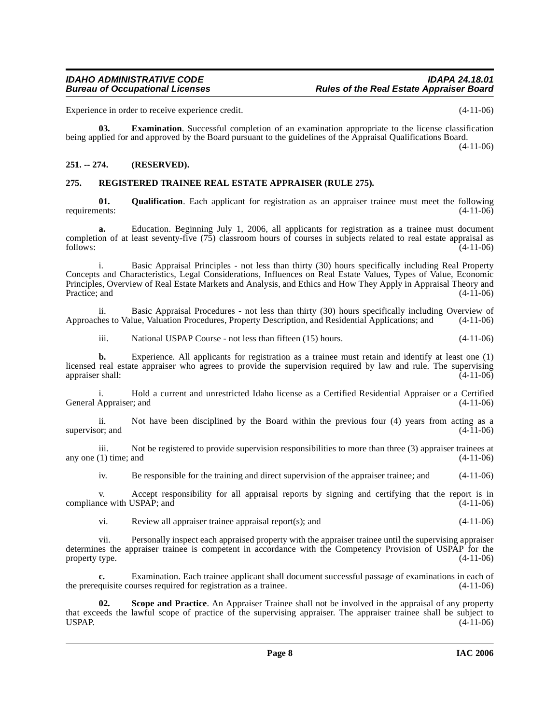Experience in order to receive experience credit. (4-11-06)

**03. Examination**. Successful completion of an examination appropriate to the license classification being applied for and approved by the Board pursuant to the guidelines of the Appraisal Qualifications Board. (4-11-06)

# <span id="page-7-0"></span>**251. -- 274. (RESERVED).**

# <span id="page-7-3"></span><span id="page-7-1"></span>**275. REGISTERED TRAINEE REAL ESTATE APPRAISER (RULE 275).**

<span id="page-7-2"></span>**01.** Qualification. Each applicant for registration as an appraiser trainee must meet the following ents: (4-11-06) requirements:

**a.** Education. Beginning July 1, 2006, all applicants for registration as a trainee must document completion of at least seventy-five (75) classroom hours of courses in subjects related to real estate appraisal as  $f_{\text{follows}}:$  (4-11-06)

i. Basic Appraisal Principles - not less than thirty (30) hours specifically including Real Property Concepts and Characteristics, Legal Considerations, Influences on Real Estate Values, Types of Value, Economic Principles, Overview of Real Estate Markets and Analysis, and Ethics and How They Apply in Appraisal Theory and Practice; and

ii. Basic Appraisal Procedures - not less than thirty (30) hours specifically including Overview of hes to Value, Valuation Procedures, Property Description, and Residential Applications; and (4-11-06) Approaches to Value, Valuation Procedures, Property Description, and Residential Applications; and

iii. National USPAP Course - not less than fifteen (15) hours. (4-11-06)

**b.** Experience. All applicants for registration as a trainee must retain and identify at least one (1) licensed real estate appraiser who agrees to provide the supervision required by law and rule. The supervising appraiser shall: (4-11-06) appraiser shall:

i. Hold a current and unrestricted Idaho license as a Certified Residential Appraiser or a Certified General Appraiser; and

ii. Not have been disciplined by the Board within the previous four (4) years from acting as a or; and  $(4-11-06)$ supervisor; and

iii. Not be registered to provide supervision responsibilities to more than three (3) appraiser trainees at (1) time; and (4-11-06) any one  $(1)$  time; and

iv. Be responsible for the training and direct supervision of the appraiser trainee; and (4-11-06)

v. Accept responsibility for all appraisal reports by signing and certifying that the report is in<br>
(4-11-06) (4-11-06) compliance with USPAP; and

vi. Review all appraiser trainee appraisal report(s); and (4-11-06)

vii. Personally inspect each appraised property with the appraiser trainee until the supervising appraiser determines the appraiser trainee is competent in accordance with the Competency Provision of USPAP for the property type. (4-11-06) property type.

Examination. Each trainee applicant shall document successful passage of examinations in each of purses required for registration as a trainee.  $(4-11-06)$ the prerequisite courses required for registration as a trainee.

<span id="page-7-4"></span>**02. Scope and Practice**. An Appraiser Trainee shall not be involved in the appraisal of any property that exceeds the lawful scope of practice of the supervising appraiser. The appraiser trainee shall be subject to USPAP. (4-11-06) USPAP.  $(4-11-06)$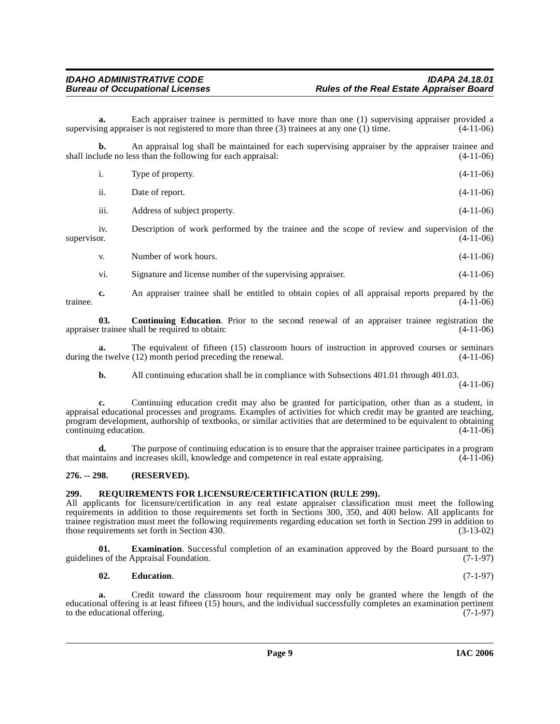**a.** Each appraiser trainee is permitted to have more than one (1) supervising appraiser provided a ng appraiser is not registered to more than three (3) trainees at any one (1) time. (4-11-06) supervising appraiser is not registered to more than three  $(3)$  trainees at any one  $(1)$  time.

**b.** An appraisal log shall be maintained for each supervising appraiser by the appraiser trainee and shall include no less than the following for each appraisal: (4-11-06) (4-11-06)

| 1.  | Type of property. | $(4-11-06)$ |
|-----|-------------------|-------------|
| ii. | Date of report.   | $(4-11-06)$ |

iii. Address of subject property. (4-11-06)

iv. Description of work performed by the trainee and the scope of review and supervision of the supervisor. (4-11-06)

v. Number of work hours. (4-11-06)

<span id="page-8-2"></span>vi. Signature and license number of the supervising appraiser. (4-11-06)

**c.** An appraiser trainee shall be entitled to obtain copies of all appraisal reports prepared by the  $(4-11-06)$ trainee.  $(4-11-06)$ 

**03. Continuing Education**. Prior to the second renewal of an appraiser trainee registration the appraiser trainee shall be required to obtain: (4-11-06)

**a.** The equivalent of fifteen (15) classroom hours of instruction in approved courses or seminars is twelve (12) month period preceding the renewal. (4-11-06) during the twelve  $(12)$  month period preceding the renewal.

**b.** All continuing education shall be in compliance with Subsections 401.01 through 401.03.

 $(4-11-06)$ 

**c.** Continuing education credit may also be granted for participation, other than as a student, in appraisal educational processes and programs. Examples of activities for which credit may be granted are teaching, program development, authorship of textbooks, or similar activities that are determined to be equivalent to obtaining continuing education. (4-11-06)

**d.** The purpose of continuing education is to ensure that the appraiser trainee participates in a program that maintains and increases skill, knowledge and competence in real estate appraising. (4-11-06)

# <span id="page-8-0"></span>**276. -- 298. (RESERVED).**

# <span id="page-8-4"></span><span id="page-8-1"></span>**299. REQUIREMENTS FOR LICENSURE/CERTIFICATION (RULE 299).**

All applicants for licensure/certification in any real estate appraiser classification must meet the following requirements in addition to those requirements set forth in Sections 300, 350, and 400 below. All applicants for trainee registration must meet the following requirements regarding education set forth in Section 299 in addition to those requirements set forth in Section 430. (3-13-02)

**01. Examination**. Successful completion of an examination approved by the Board pursuant to the so of the Appraisal Foundation. (7-1-97) guidelines of the Appraisal Foundation.

# <span id="page-8-3"></span>**02. Education**. (7-1-97)

**a.** Credit toward the classroom hour requirement may only be granted where the length of the educational offering is at least fifteen (15) hours, and the individual successfully completes an examination pertinent to the educational offering. (7-1-97) to the educational offering.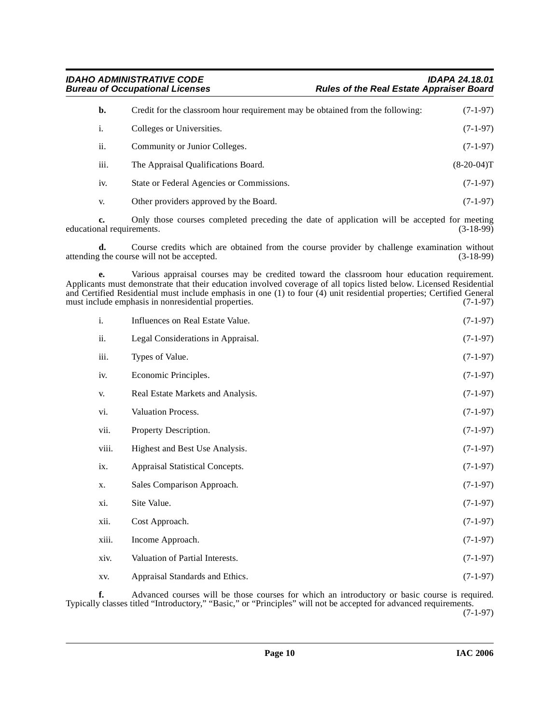| b.   | Credit for the classroom hour requirement may be obtained from the following: | $(7-1-97)$   |
|------|-------------------------------------------------------------------------------|--------------|
| i.   | Colleges or Universities.                                                     | $(7-1-97)$   |
| ii.  | Community or Junior Colleges.                                                 | $(7-1-97)$   |
| iii. | The Appraisal Qualifications Board.                                           | $(8-20-04)T$ |
| iv.  | State or Federal Agencies or Commissions.                                     | $(7-1-97)$   |
| V.   | Other providers approved by the Board.                                        | $(7-1-97)$   |

**c.** Only those courses completed preceding the date of application will be accepted for meeting nal requirements. (3-18-99) educational requirements.

**d.** Course credits which are obtained from the course provider by challenge examination without g the course will not be accepted. (3-18-99) attending the course will not be accepted.

**e.** Various appraisal courses may be credited toward the classroom hour education requirement. Applicants must demonstrate that their education involved coverage of all topics listed below. Licensed Residential and Certified Residential must include emphasis in one (1) to four (4) unit residential properties; Certified General must include emphasis in nonresidential properties.  $(7-1-97)$ must include emphasis in nonresidential properties.

| i.    | Influences on Real Estate Value.   | $(7-1-97)$ |
|-------|------------------------------------|------------|
| ii.   | Legal Considerations in Appraisal. | $(7-1-97)$ |
| iii.  | Types of Value.                    | $(7-1-97)$ |
| iv.   | Economic Principles.               | $(7-1-97)$ |
| V.    | Real Estate Markets and Analysis.  | $(7-1-97)$ |
| vi.   | Valuation Process.                 | $(7-1-97)$ |
| vii.  | Property Description.              | $(7-1-97)$ |
| viii. | Highest and Best Use Analysis.     | $(7-1-97)$ |
| ix.   | Appraisal Statistical Concepts.    | $(7-1-97)$ |
| X.    | Sales Comparison Approach.         | $(7-1-97)$ |
| xi.   | Site Value.                        | $(7-1-97)$ |
| xii.  | Cost Approach.                     | $(7-1-97)$ |
| xiii. | Income Approach.                   | $(7-1-97)$ |
| xiv.  | Valuation of Partial Interests.    | $(7-1-97)$ |
| XV.   | Appraisal Standards and Ethics.    | $(7-1-97)$ |

**f.** Advanced courses will be those courses for which an introductory or basic course is required. Typically classes titled "Introductory," "Basic," or "Principles" will not be accepted for advanced requirements. (7-1-97)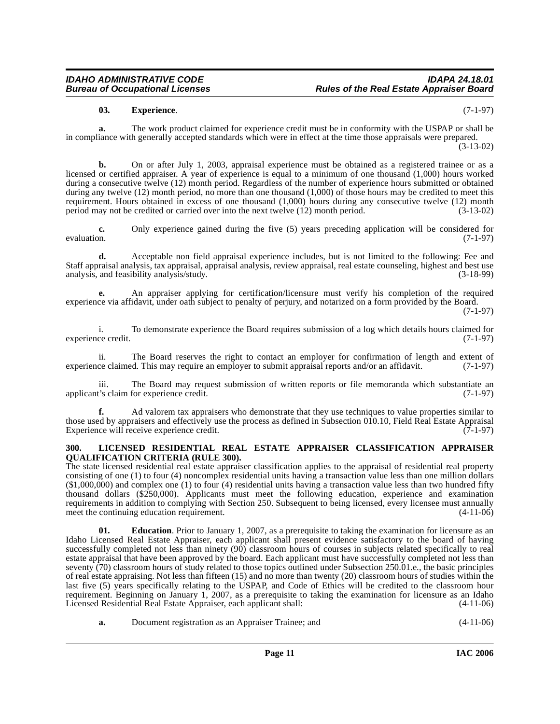# <span id="page-10-1"></span>**03. Experience**. (7-1-97)

**a.** The work product claimed for experience credit must be in conformity with the USPAP or shall be in compliance with generally accepted standards which were in effect at the time those appraisals were prepared. (3-13-02)

**b.** On or after July 1, 2003, appraisal experience must be obtained as a registered trainee or as a licensed or certified appraiser. A year of experience is equal to a minimum of one thousand (1,000) hours worked during a consecutive twelve (12) month period. Regardless of the number of experience hours submitted or obtained during any twelve (12) month period, no more than one thousand (1,000) of those hours may be credited to meet this requirement. Hours obtained in excess of one thousand (1,000) hours during any consecutive twelve (12) month period may not be credited or carried over into the next twelve (12) month period. (3-13-02) period may not be credited or carried over into the next twelve  $(12)$  month period.

**c.** Only experience gained during the five (5) years preceding application will be considered for evaluation.  $(7-1-97)$ 

**d.** Acceptable non field appraisal experience includes, but is not limited to the following: Fee and Staff appraisal analysis, tax appraisal, appraisal analysis, review appraisal, real estate counseling, highest and best use analysis, and feasibility analysis/study. (3-18-99)

**e.** An appraiser applying for certification/licensure must verify his completion of the required experience via affidavit, under oath subject to penalty of perjury, and notarized on a form provided by the Board. (7-1-97)

i. To demonstrate experience the Board requires submission of a log which details hours claimed for ce credit. (7-1-97) experience credit.

ii. The Board reserves the right to contact an employer for confirmation of length and extent of experience claimed. This may require an employer to submit appraisal reports and/or an affidavit. (7-1-97)

iii. The Board may request submission of written reports or file memoranda which substantiate an applicant's claim for experience credit. (7-1-97)

**f.** Ad valorem tax appraisers who demonstrate that they use techniques to value properties similar to those used by appraisers and effectively use the process as defined in Subsection 010.10, Field Real Estate Appraisal Experience will receive experience credit. (7-1-97) Experience will receive experience credit.

#### <span id="page-10-2"></span><span id="page-10-0"></span>**300. LICENSED RESIDENTIAL REAL ESTATE APPRAISER CLASSIFICATION APPRAISER QUALIFICATION CRITERIA (RULE 300).**

The state licensed residential real estate appraiser classification applies to the appraisal of residential real property consisting of one (1) to four (4) noncomplex residential units having a transaction value less than one million dollars (\$1,000,000) and complex one (1) to four (4) residential units having a transaction value less than two hundred fifty thousand dollars (\$250,000). Applicants must meet the following education, experience and examination requirements in addition to complying with Section 250. Subsequent to being licensed, every licensee must annually<br>meet the continuing education requirement. (4-11-06) meet the continuing education requirement.

**01. Education**. Prior to January 1, 2007, as a prerequisite to taking the examination for licensure as an Idaho Licensed Real Estate Appraiser, each applicant shall present evidence satisfactory to the board of having successfully completed not less than ninety (90) classroom hours of courses in subjects related specifically to real estate appraisal that have been approved by the board. Each applicant must have successfully completed not less than seventy (70) classroom hours of study related to those topics outlined under Subsection 250.01.e., the basic principles of real estate appraising. Not less than fifteen (15) and no more than twenty (20) classroom hours of studies within the last five (5) years specifically relating to the USPAP, and Code of Ethics will be credited to the classroom hour requirement. Beginning on January 1, 2007, as a prerequisite to taking the examination for licensure as an Idaho<br>Licensed Residential Real Estate Appraiser, each applicant shall: (4-11-06) Licensed Residential Real Estate Appraiser, each applicant shall:

**a.** Document registration as an Appraiser Trainee; and (4-11-06)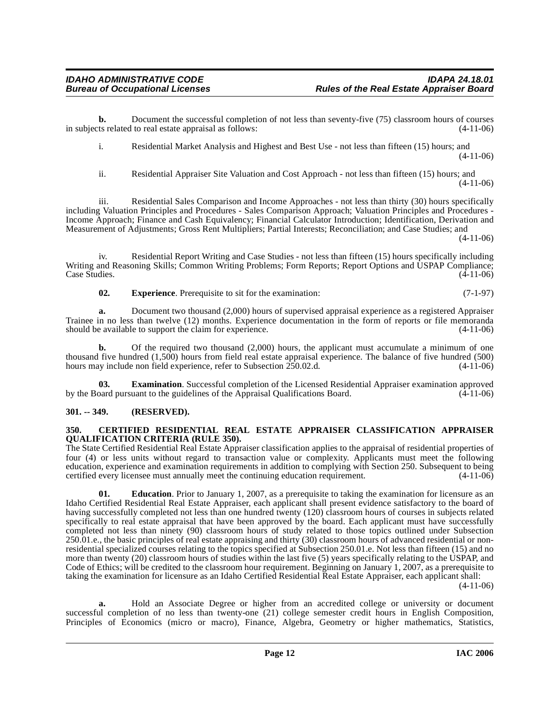i. Residential Market Analysis and Highest and Best Use - not less than fifteen (15) hours; and (4-11-06)

ii. Residential Appraiser Site Valuation and Cost Approach - not less than fifteen (15) hours; and  $(4-11-06)$ 

iii. Residential Sales Comparison and Income Approaches - not less than thirty (30) hours specifically including Valuation Principles and Procedures - Sales Comparison Approach; Valuation Principles and Procedures - Income Approach; Finance and Cash Equivalency; Financial Calculator Introduction; Identification, Derivation and Measurement of Adjustments; Gross Rent Multipliers; Partial Interests; Reconciliation; and Case Studies; and  $(4-11-06)$ 

iv. Residential Report Writing and Case Studies - not less than fifteen (15) hours specifically including Writing and Reasoning Skills; Common Writing Problems; Form Reports; Report Options and USPAP Compliance; Case Studies. (4-11-06)

**02. Experience**. Prerequisite to sit for the examination: (7-1-97)

**a.** Document two thousand (2,000) hours of supervised appraisal experience as a registered Appraiser Trainee in no less than twelve (12) months. Experience documentation in the form of reports or file memoranda should be available to support the claim for experience. (4-11-06)

**b.** Of the required two thousand (2,000) hours, the applicant must accumulate a minimum of one thousand five hundred (1,500) hours from field real estate appraisal experience. The balance of five hundred (500) hours may include non field experience, refer to Subsection  $250.02$ .d.  $(4-11-06)$ 

**Examination**. Successful completion of the Licensed Residential Appraiser examination approved by the Board pursuant to the guidelines of the Appraisal Qualifications Board.  $(4-11-06)$ 

# <span id="page-11-0"></span>**301. -- 349. (RESERVED).**

# <span id="page-11-2"></span><span id="page-11-1"></span>**350. CERTIFIED RESIDENTIAL REAL ESTATE APPRAISER CLASSIFICATION APPRAISER QUALIFICATION CRITERIA (RULE 350).**

The State Certified Residential Real Estate Appraiser classification applies to the appraisal of residential properties of four (4) or less units without regard to transaction value or complexity. Applicants must meet the following education, experience and examination requirements in addition to complying with Section 250. Subsequent to being certified every licensee must annually meet the continuing education requirement. (4-11-06)

**01.** Education. Prior to January 1, 2007, as a prerequisite to taking the examination for licensure as an Idaho Certified Residential Real Estate Appraiser, each applicant shall present evidence satisfactory to the board of having successfully completed not less than one hundred twenty (120) classroom hours of courses in subjects related specifically to real estate appraisal that have been approved by the board. Each applicant must have successfully completed not less than ninety (90) classroom hours of study related to those topics outlined under Subsection 250.01.e., the basic principles of real estate appraising and thirty (30) classroom hours of advanced residential or nonresidential specialized courses relating to the topics specified at Subsection 250.01.e. Not less than fifteen (15) and no more than twenty (20) classroom hours of studies within the last five (5) years specifically relating to the USPAP, and Code of Ethics; will be credited to the classroom hour requirement. Beginning on January 1, 2007, as a prerequisite to taking the examination for licensure as an Idaho Certified Residential Real Estate Appraiser, each applicant shall:  $(4-11-06)$ 

**a.** Hold an Associate Degree or higher from an accredited college or university or document successful completion of no less than twenty-one (21) college semester credit hours in English Composition, Principles of Economics (micro or macro), Finance, Algebra, Geometry or higher mathematics, Statistics,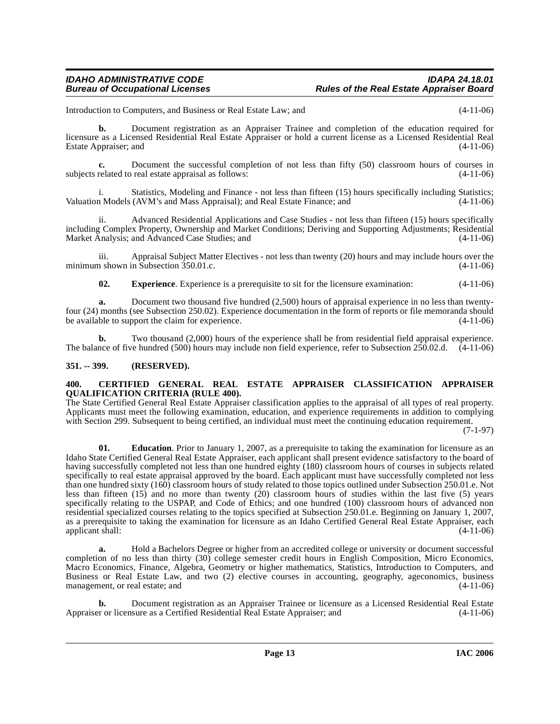Introduction to Computers, and Business or Real Estate Law; and (4-11-06)

**b.** Document registration as an Appraiser Trainee and completion of the education required for licensure as a Licensed Residential Real Estate Appraiser or hold a current license as a Licensed Residential Real Estate Appraiser; and (4-11-06)

**c.** Document the successful completion of not less than fifty (50) classroom hours of courses in related to real estate appraisal as follows: (4-11-06) subjects related to real estate appraisal as follows:

Statistics, Modeling and Finance - not less than fifteen (15) hours specifically including Statistics; Valuation Models (AVM's and Mass Appraisal); and Real Estate Finance; and (4-11-06)

ii. Advanced Residential Applications and Case Studies - not less than fifteen (15) hours specifically including Complex Property, Ownership and Market Conditions; Deriving and Supporting Adjustments; Residential Market Analysis; and Advanced Case Studies; and (4-11-06)

iii. Appraisal Subject Matter Electives - not less than twenty (20) hours and may include hours over the n shown in Subsection 350.01.c. minimum shown in Subsection  $350.01.c.$ 

**02. Experience**. Experience is a prerequisite to sit for the licensure examination: (4-11-06)

**a.** Document two thousand five hundred (2,500) hours of appraisal experience in no less than twentyfour (24) months (see Subsection 250.02). Experience documentation in the form of reports or file memoranda should be available to support the claim for experience. (4-11-06)

**b.** Two thousand (2,000) hours of the experience shall be from residential field appraisal experience. The balance of five hundred (500) hours may include non field experience, refer to Subsection 250.02.d. (4-11-06)

#### <span id="page-12-0"></span>**351. -- 399. (RESERVED).**

#### <span id="page-12-2"></span><span id="page-12-1"></span>**400. CERTIFIED GENERAL REAL ESTATE APPRAISER CLASSIFICATION APPRAISER QUALIFICATION CRITERIA (RULE 400).**

The State Certified General Real Estate Appraiser classification applies to the appraisal of all types of real property. Applicants must meet the following examination, education, and experience requirements in addition to complying with Section 299. Subsequent to being certified, an individual must meet the continuing education requirement.

(7-1-97)

**01.** Education. Prior to January 1, 2007, as a prerequisite to taking the examination for licensure as an Idaho State Certified General Real Estate Appraiser, each applicant shall present evidence satisfactory to the board of having successfully completed not less than one hundred eighty (180) classroom hours of courses in subjects related specifically to real estate appraisal approved by the board. Each applicant must have successfully completed not less than one hundred sixty (160) classroom hours of study related to those topics outlined under Subsection 250.01.e. Not less than fifteen (15) and no more than twenty (20) classroom hours of studies within the last five (5) years specifically relating to the USPAP, and Code of Ethics; and one hundred (100) classroom hours of advanced non residential specialized courses relating to the topics specified at Subsection 250.01.e. Beginning on January 1, 2007, as a prerequisite to taking the examination for licensure as an Idaho Certified General Real Estate Appraiser, each applicant shall: (4-11-06)

**a.** Hold a Bachelors Degree or higher from an accredited college or university or document successful completion of no less than thirty (30) college semester credit hours in English Composition, Micro Economics, Macro Economics, Finance, Algebra, Geometry or higher mathematics, Statistics, Introduction to Computers, and Business or Real Estate Law, and two (2) elective courses in accounting, geography, ageconomics, business management, or real estate; and  $(4-11-06)$ 

**b.** Document registration as an Appraiser Trainee or licensure as a Licensed Residential Real Estate<br>or or licensure as a Certified Residential Real Estate Appraiser; and (4-11-06) Appraiser or licensure as a Certified Residential Real Estate Appraiser; and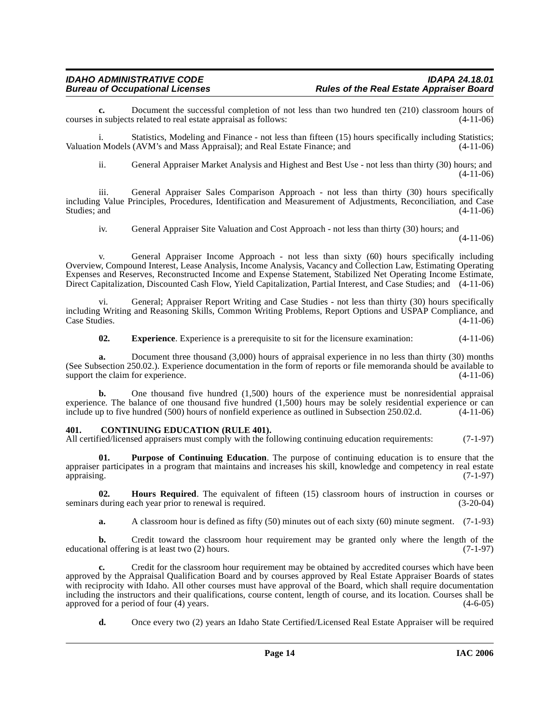**c.** Document the successful completion of not less than two hundred ten (210) classroom hours of n subjects related to real estate appraisal as follows: (4-11-06) courses in subjects related to real estate appraisal as follows:

i. Statistics, Modeling and Finance - not less than fifteen (15) hours specifically including Statistics; Valuation Models (AVM's and Mass Appraisal); and Real Estate Finance; and (4-11-06)

ii. General Appraiser Market Analysis and Highest and Best Use - not less than thirty (30) hours; and (4-11-06)

iii. General Appraiser Sales Comparison Approach - not less than thirty (30) hours specifically including Value Principles, Procedures, Identification and Measurement of Adjustments, Reconciliation, and Case Studies; and  $(4-11-06)$ 

iv. General Appraiser Site Valuation and Cost Approach - not less than thirty (30) hours; and

(4-11-06)

v. General Appraiser Income Approach - not less than sixty (60) hours specifically including Overview, Compound Interest, Lease Analysis, Income Analysis, Vacancy and Collection Law, Estimating Operating Expenses and Reserves, Reconstructed Income and Expense Statement, Stabilized Net Operating Income Estimate, Direct Capitalization, Discounted Cash Flow, Yield Capitalization, Partial Interest, and Case Studies; and (4-11-06)

vi. General; Appraiser Report Writing and Case Studies - not less than thirty (30) hours specifically including Writing and Reasoning Skills, Common Writing Problems, Report Options and USPAP Compliance, and Case Studies.

**02. Experience**. Experience is a prerequisite to sit for the licensure examination: (4-11-06)

**a.** Document three thousand (3,000) hours of appraisal experience in no less than thirty (30) months (See Subsection 250.02.). Experience documentation in the form of reports or file memoranda should be available to support the claim for experience. support the claim for experience.

**b.** One thousand five hundred (1,500) hours of the experience must be nonresidential appraisal experience. The balance of one thousand five hundred (1,500) hours may be solely residential experience or can include up to five hundred (500) hours of nonfield experience as outlined in Subsection 250.02.d. (4-11-06)

# <span id="page-13-1"></span><span id="page-13-0"></span>**401. CONTINUING EDUCATION (RULE 401).**

All certified/licensed appraisers must comply with the following continuing education requirements: (7-1-97)

<span id="page-13-3"></span>**01. Purpose of Continuing Education**. The purpose of continuing education is to ensure that the appraiser participates in a program that maintains and increases his skill, knowledge and competency in real estate appraising. (7-1-97)

**02. Hours Required**. The equivalent of fifteen (15) classroom hours of instruction in courses or during each year prior to renewal is required. (3-20-04) seminars during each year prior to renewal is required.

<span id="page-13-2"></span>**a.** A classroom hour is defined as fifty (50) minutes out of each sixty (60) minute segment. (7-1-93)

**b.** Credit toward the classroom hour requirement may be granted only where the length of the nal offering is at least two (2) hours. (7-1-97) educational offering is at least two  $(2)$  hours.

**c.** Credit for the classroom hour requirement may be obtained by accredited courses which have been approved by the Appraisal Qualification Board and by courses approved by Real Estate Appraiser Boards of states with reciprocity with Idaho. All other courses must have approval of the Board, which shall require documentation including the instructors and their qualifications, course content, length of course, and its location. Courses shall be approved for a period of four (4) years. approved for a period of four  $(4)$  years.

**d.** Once every two (2) years an Idaho State Certified/Licensed Real Estate Appraiser will be required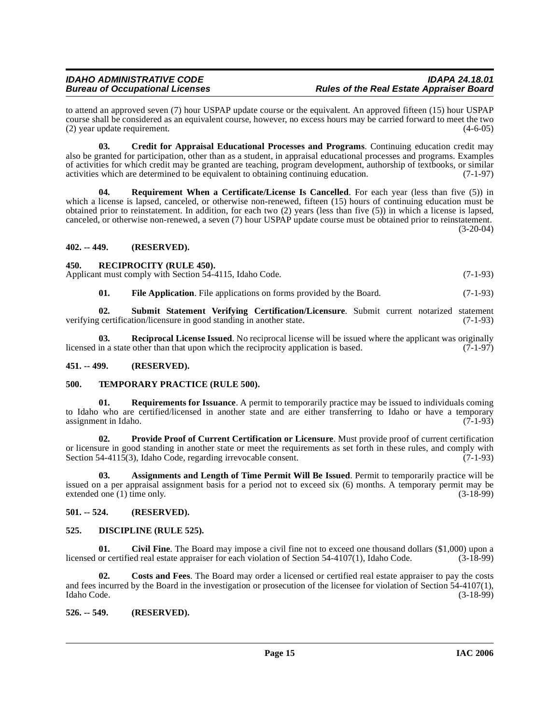# **IDAHO ADMINISTRATIVE CODE IDAPA 24.18.01 Rules of the Real Estate Appraiser Board**

to attend an approved seven (7) hour USPAP update course or the equivalent. An approved fifteen (15) hour USPAP course shall be considered as an equivalent course, however, no excess hours may be carried forward to meet the two (2) year update requirement. (4-6-05)

<span id="page-14-10"></span>**03. Credit for Appraisal Educational Processes and Programs**. Continuing education credit may also be granted for participation, other than as a student, in appraisal educational processes and programs. Examples of activities for which credit may be granted are teaching, program development, authorship of textbooks, or similar activities which are determined to be equivalent to obtaining continuing education. (7-1-97)

<span id="page-14-16"></span>**Requirement When a Certificate/License Is Cancelled.** For each year (less than five (5)) in which a license is lapsed, canceled, or otherwise non-renewed, fifteen (15) hours of continuing education must be obtained prior to reinstatement. In addition, for each two (2) years (less than five (5)) in which a license is lapsed, canceled, or otherwise non-renewed, a seven (7) hour USPAP update course must be obtained prior to reinstatement.  $(3-20-04)$ 

# <span id="page-14-0"></span>**402. -- 449. (RESERVED).**

# <span id="page-14-15"></span><span id="page-14-1"></span>**450. RECIPROCITY (RULE 450).**

Applicant must comply with Section 54-4115, Idaho Code. (7-1-93)

<span id="page-14-18"></span><span id="page-14-14"></span><span id="page-14-12"></span>**01.** File Application. File applications on forms provided by the Board. (7-1-93)

**02.** Submit Statement Verifying Certification/Licensure. Submit current notarized statement certification/licensure in good standing in another state. (7-1-93) verifying certification/licensure in good standing in another state.

**03.** Reciprocal License Issued. No reciprocal license will be issued where the applicant was originally in a state other than that upon which the reciprocity application is based. (7-1-97) licensed in a state other than that upon which the reciprocity application is based.

# <span id="page-14-2"></span>**451. -- 499. (RESERVED).**

# <span id="page-14-19"></span><span id="page-14-3"></span>**500. TEMPORARY PRACTICE (RULE 500).**

<span id="page-14-17"></span>**Requirements for Issuance**. A permit to temporarily practice may be issued to individuals coming to Idaho who are certified/licensed in another state and are either transferring to Idaho or have a temporary<br>assignment in Idaho. (7-1-93) assignment in Idaho.

<span id="page-14-13"></span>**02. Provide Proof of Current Certification or Licensure**. Must provide proof of current certification or licensure in good standing in another state or meet the requirements as set forth in these rules, and comply with Section 54-4115(3), Idaho Code, regarding irrevocable consent. (7-1-93)

<span id="page-14-7"></span>**03. Assignments and Length of Time Permit Will Be Issued**. Permit to temporarily practice will be issued on a per appraisal assignment basis for a period not to exceed six (6) months. A temporary permit may be extended one (1) time only. (3-18-99)

# <span id="page-14-4"></span>**501. -- 524. (RESERVED).**

# <span id="page-14-11"></span><span id="page-14-5"></span>**525. DISCIPLINE (RULE 525).**

<span id="page-14-8"></span>**01.** Civil Fine. The Board may impose a civil fine not to exceed one thousand dollars (\$1,000) upon a or certified real estate appraiser for each violation of Section 54-4107(1). Idaho Code. (3-18-99) licensed or certified real estate appraiser for each violation of Section 54-4107(1), Idaho Code.

<span id="page-14-9"></span>**02. Costs and Fees**. The Board may order a licensed or certified real estate appraiser to pay the costs and fees incurred by the Board in the investigation or prosecution of the licensee for violation of Section 54-4107(1), Idaho Code. (3-18-99)

# <span id="page-14-6"></span>**526. -- 549. (RESERVED).**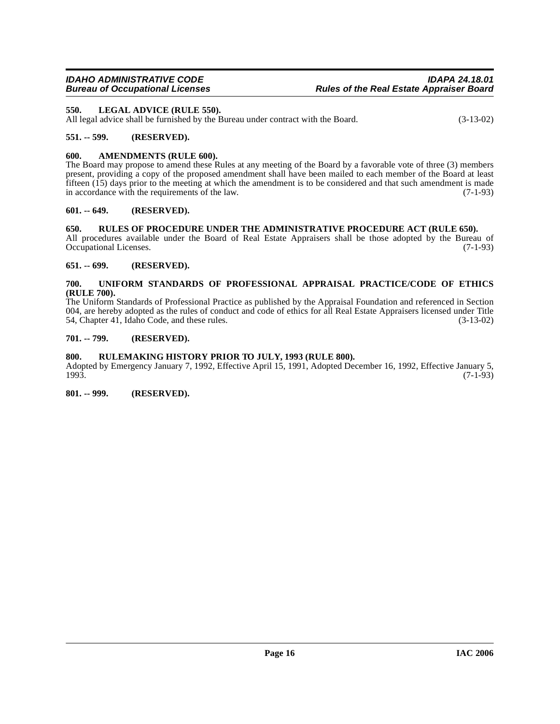# <span id="page-15-11"></span><span id="page-15-0"></span>**550. LEGAL ADVICE (RULE 550).**

All legal advice shall be furnished by the Bureau under contract with the Board. (3-13-02)

# <span id="page-15-1"></span>**551. -- 599. (RESERVED).**

# <span id="page-15-10"></span><span id="page-15-2"></span>**600. AMENDMENTS (RULE 600).**

The Board may propose to amend these Rules at any meeting of the Board by a favorable vote of three (3) members present, providing a copy of the proposed amendment shall have been mailed to each member of the Board at least fifteen (15) days prior to the meeting at which the amendment is to be considered and that such amendment is made in accordance with the requirements of the law. (7-1-93)

# <span id="page-15-3"></span>**601. -- 649. (RESERVED).**

# <span id="page-15-12"></span><span id="page-15-4"></span>**650. RULES OF PROCEDURE UNDER THE ADMINISTRATIVE PROCEDURE ACT (RULE 650).**

All procedures available under the Board of Real Estate Appraisers shall be those adopted by the Bureau of Occupational Licenses. (7-1-93) Occupational Licenses.

# <span id="page-15-5"></span>**651. -- 699. (RESERVED).**

#### <span id="page-15-13"></span><span id="page-15-6"></span>**700. UNIFORM STANDARDS OF PROFESSIONAL APPRAISAL PRACTICE/CODE OF ETHICS (RULE 700).**

The Uniform Standards of Professional Practice as published by the Appraisal Foundation and referenced in Section 004, are hereby adopted as the rules of conduct and code of ethics for all Real Estate Appraisers licensed under Title 54, Chapter 41, Idaho Code, and these rules. (3-13-02) 54, Chapter 41, Idaho Code, and these rules.

# <span id="page-15-7"></span>**701. -- 799. (RESERVED).**

# <span id="page-15-8"></span>**800. RULEMAKING HISTORY PRIOR TO JULY, 1993 (RULE 800).**

Adopted by Emergency January 7, 1992, Effective April 15, 1991, Adopted December 16, 1992, Effective January 5, 1993. 1993. (7-1-93)

<span id="page-15-9"></span>**801. -- 999. (RESERVED).**